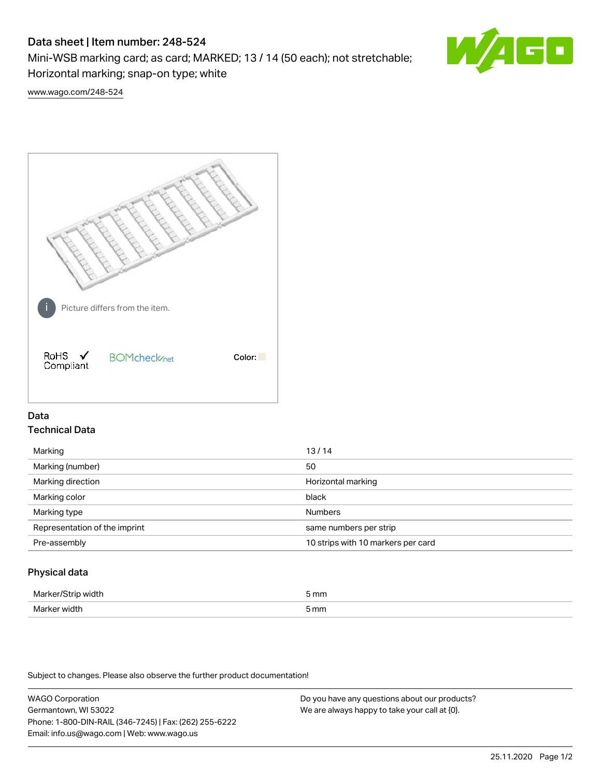# Data sheet | Item number: 248-524

Mini-WSB marking card; as card; MARKED; 13 / 14 (50 each); not stretchable; Horizontal marking; snap-on type; white



[www.wago.com/248-524](http://www.wago.com/248-524)



## Data Technical Data

| Marking                       | 13/14                              |
|-------------------------------|------------------------------------|
| Marking (number)              | 50                                 |
| Marking direction             | Horizontal marking                 |
| Marking color                 | black                              |
| Marking type                  | <b>Numbers</b>                     |
| Representation of the imprint | same numbers per strip             |
| Pre-assembly                  | 10 strips with 10 markers per card |
|                               |                                    |

## Physical data

| Marker<br><b>WINTI</b><br>י | 5 mm |
|-----------------------------|------|
| Marker width                | 5 mm |

Subject to changes. Please also observe the further product documentation!

WAGO Corporation Germantown, WI 53022 Phone: 1-800-DIN-RAIL (346-7245) | Fax: (262) 255-6222 Email: info.us@wago.com | Web: www.wago.us Do you have any questions about our products? We are always happy to take your call at {0}.